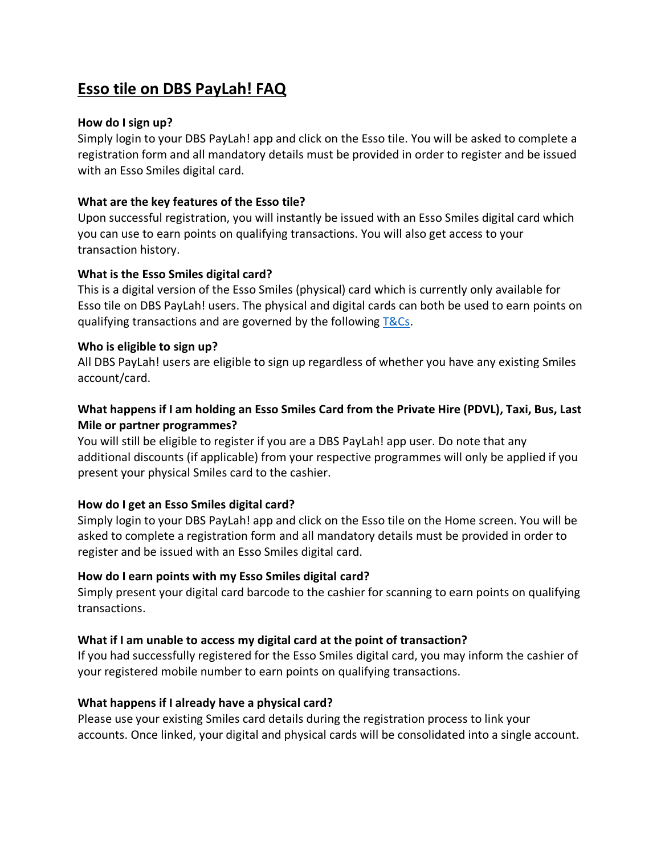# **Esso tile on DBS PayLah! FAQ**

## **How do I sign up?**

Simply login to your DBS PayLah! app and click on the Esso tile. You will be asked to complete a registration form and all mandatory details must be provided in order to register and be issued with an Esso Smiles digital card.

## **What are the key features of the Esso tile?**

Upon successful registration, you will instantly be issued with an Esso Smiles digital card which you can use to earn points on qualifying transactions. You will also get access to your transaction history.

### **What is the Esso Smiles digital card?**

This is a digital version of the Esso Smiles (physical) card which is currently only available for Esso tile on DBS PayLah! users. The physical and digital cards can both be used to earn points on qualifying transactions and are governed by the following [T&Cs.](https://www.essosmiles.com.sg/pdf/DBS%20Paylah%20TnCs.pdf)

#### **Who is eligible to sign up?**

All DBS PayLah! users are eligible to sign up regardless of whether you have any existing Smiles account/card.

# **What happens if I am holding an Esso Smiles Card from the Private Hire (PDVL), Taxi, Bus, Last Mile or partner programmes?**

You will still be eligible to register if you are a DBS PayLah! app user. Do note that any additional discounts (if applicable) from your respective programmes will only be applied if you present your physical Smiles card to the cashier.

## **How do I get an Esso Smiles digital card?**

Simply login to your DBS PayLah! app and click on the Esso tile on the Home screen. You will be asked to complete a registration form and all mandatory details must be provided in order to register and be issued with an Esso Smiles digital card.

## **How do I earn points with my Esso Smiles digital card?**

Simply present your digital card barcode to the cashier for scanning to earn points on qualifying transactions.

## **What if I am unable to access my digital card at the point of transaction?**

If you had successfully registered for the Esso Smiles digital card, you may inform the cashier of your registered mobile number to earn points on qualifying transactions.

#### **What happens if I already have a physical card?**

Please use your existing Smiles card details during the registration process to link your accounts. Once linked, your digital and physical cards will be consolidated into a single account.